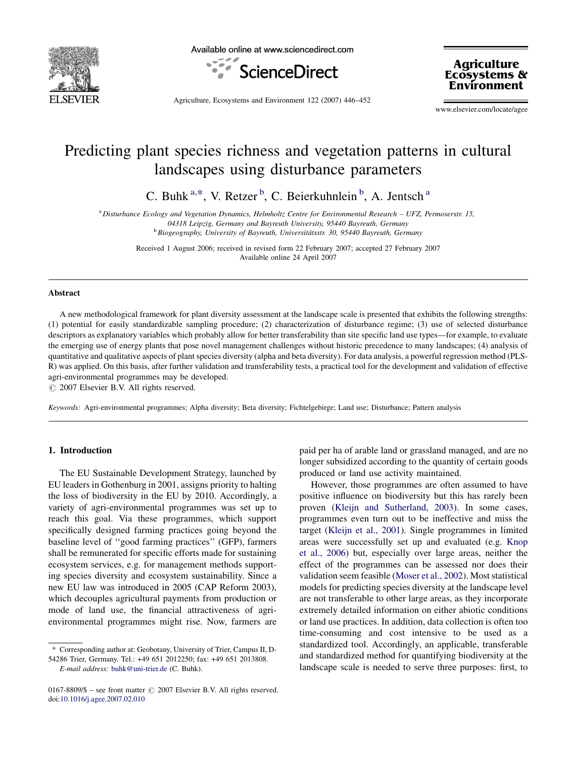

Available online at www.sciencedirect.com



**Agriculture Ecosystems &** Environment

Agriculture, Ecosystems and Environment 122 (2007) 446–452

www.elsevier.com/locate/agee

# Predicting plant species richness and vegetation patterns in cultural landscapes using disturbance parameters

C. Buhk<sup>a,\*</sup>, V. Retzer<sup>b</sup>, C. Beierkuhnlein<sup>b</sup>, A. Jentsch<sup>a</sup>

a Disturbance Ecology and Vegetation Dynamics, Helmholtz Centre for Environmental Research – UFZ, Permoserstr. 15, 04318 Leipzig, Germany and Bayreuth University, 95440 Bayreuth, Germany

<sup>b</sup> Biogeography, University of Bayreuth, Universitätsstr. 30, 95440 Bayreuth, Germany

Received 1 August 2006; received in revised form 22 February 2007; accepted 27 February 2007 Available online 24 April 2007

#### Abstract

A new methodological framework for plant diversity assessment at the landscape scale is presented that exhibits the following strengths: (1) potential for easily standardizable sampling procedure; (2) characterization of disturbance regime; (3) use of selected disturbance descriptors as explanatory variables which probably allow for better transferability than site specific land use types—for example, to evaluate the emerging use of energy plants that pose novel management challenges without historic precedence to many landscapes; (4) analysis of quantitative and qualitative aspects of plant species diversity (alpha and beta diversity). For data analysis, a powerful regression method (PLS-R) was applied. On this basis, after further validation and transferability tests, a practical tool for the development and validation of effective agri-environmental programmes may be developed.

 $\odot$  2007 Elsevier B.V. All rights reserved.

Keywords: Agri-environmental programmes; Alpha diversity; Beta diversity; Fichtelgebirge; Land use; Disturbance; Pattern analysis

# 1. Introduction

The EU Sustainable Development Strategy, launched by EU leaders in Gothenburg in 2001, assigns priority to halting the loss of biodiversity in the EU by 2010. Accordingly, a variety of agri-environmental programmes was set up to reach this goal. Via these programmes, which support specifically designed farming practices going beyond the baseline level of ''good farming practices'' (GFP), farmers shall be remunerated for specific efforts made for sustaining ecosystem services, e.g. for management methods supporting species diversity and ecosystem sustainability. Since a new EU law was introduced in 2005 (CAP Reform 2003), which decouples agricultural payments from production or mode of land use, the financial attractiveness of agrienvironmental programmes might rise. Now, farmers are

E-mail address: [buhk@uni-trier.de](mailto:buhk@uni-trier.de) (C. Buhk).

paid per ha of arable land or grassland managed, and are no longer subsidized according to the quantity of certain goods produced or land use activity maintained.

However, those programmes are often assumed to have positive influence on biodiversity but this has rarely been proven ([Kleijn and Sutherland, 2003\)](#page-6-0). In some cases, programmes even turn out to be ineffective and miss the target ([Kleijn et al., 2001\)](#page-6-0). Single programmes in limited areas were successfully set up and evaluated (e.g. [Knop](#page-6-0) [et al., 2006](#page-6-0)) but, especially over large areas, neither the effect of the programmes can be assessed nor does their validation seem feasible [\(Moser et al., 2002\)](#page-6-0). Most statistical models for predicting species diversity at the landscape level are not transferable to other large areas, as they incorporate extremely detailed information on either abiotic conditions or land use practices. In addition, data collection is often too time-consuming and cost intensive to be used as a standardized tool. Accordingly, an applicable, transferable and standardized method for quantifying biodiversity at the landscape scale is needed to serve three purposes: first, to

<sup>\*</sup> Corresponding author at: Geobotany, University of Trier, Campus II, D-54286 Trier, Germany. Tel.: +49 651 2012250; fax: +49 651 2013808.

<sup>0167-8809/\$ –</sup> see front matter  $\odot$  2007 Elsevier B.V. All rights reserved. doi[:10.1016/j.agee.2007.02.010](http://dx.doi.org/10.1016/j.agee.2007.02.010)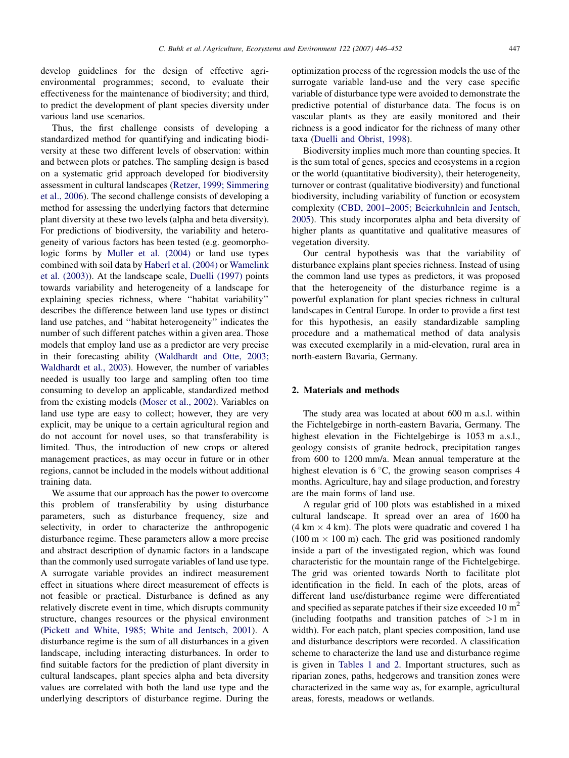develop guidelines for the design of effective agrienvironmental programmes; second, to evaluate their effectiveness for the maintenance of biodiversity; and third, to predict the development of plant species diversity under various land use scenarios.

Thus, the first challenge consists of developing a standardized method for quantifying and indicating biodiversity at these two different levels of observation: within and between plots or patches. The sampling design is based on a systematic grid approach developed for biodiversity assessment in cultural landscapes [\(Retzer, 1999; Simmering](#page-6-0) [et al., 2006](#page-6-0)). The second challenge consists of developing a method for assessing the underlying factors that determine plant diversity at these two levels (alpha and beta diversity). For predictions of biodiversity, the variability and heterogeneity of various factors has been tested (e.g. geomorphologic forms by [Muller et al. \(2004\)](#page-6-0) or land use types combined with soil data by [Haberl et al. \(2004\)](#page-6-0) or [Wamelink](#page-6-0) [et al. \(2003\)\)](#page-6-0). At the landscape scale, [Duelli \(1997\)](#page-6-0) points towards variability and heterogeneity of a landscape for explaining species richness, where ''habitat variability'' describes the difference between land use types or distinct land use patches, and ''habitat heterogeneity'' indicates the number of such different patches within a given area. Those models that employ land use as a predictor are very precise in their forecasting ability ([Waldhardt and Otte, 2003;](#page-6-0) [Waldhardt et al](#page-6-0)., 2003). However, the number of variables needed is usually too large and sampling often too time consuming to develop an applicable, standardized method from the existing models [\(Moser et al., 2002\)](#page-6-0). Variables on land use type are easy to collect; however, they are very explicit, may be unique to a certain agricultural region and do not account for novel uses, so that transferability is limited. Thus, the introduction of new crops or altered management practices, as may occur in future or in other regions, cannot be included in the models without additional training data.

We assume that our approach has the power to overcome this problem of transferability by using disturbance parameters, such as disturbance frequency, size and selectivity, in order to characterize the anthropogenic disturbance regime. These parameters allow a more precise and abstract description of dynamic factors in a landscape than the commonly used surrogate variables of land use type. A surrogate variable provides an indirect measurement effect in situations where direct measurement of effects is not feasible or practical. Disturbance is defined as any relatively discrete event in time, which disrupts community structure, changes resources or the physical environment ([Pickett and White, 1985; White and Jentsch, 2001\)](#page-6-0). A disturbance regime is the sum of all disturbances in a given landscape, including interacting disturbances. In order to find suitable factors for the prediction of plant diversity in cultural landscapes, plant species alpha and beta diversity values are correlated with both the land use type and the underlying descriptors of disturbance regime. During the optimization process of the regression models the use of the surrogate variable land-use and the very case specific variable of disturbance type were avoided to demonstrate the predictive potential of disturbance data. The focus is on vascular plants as they are easily monitored and their richness is a good indicator for the richness of many other taxa ([Duelli and Obrist, 1998\)](#page-6-0).

Biodiversity implies much more than counting species. It is the sum total of genes, species and ecosystems in a region or the world (quantitative biodiversity), their heterogeneity, turnover or contrast (qualitative biodiversity) and functional biodiversity, including variability of function or ecosystem complexity [\(CBD, 2001–2005; Beierkuhnlein and Jentsch,](#page-6-0) [2005](#page-6-0)). This study incorporates alpha and beta diversity of higher plants as quantitative and qualitative measures of vegetation diversity.

Our central hypothesis was that the variability of disturbance explains plant species richness. Instead of using the common land use types as predictors, it was proposed that the heterogeneity of the disturbance regime is a powerful explanation for plant species richness in cultural landscapes in Central Europe. In order to provide a first test for this hypothesis, an easily standardizable sampling procedure and a mathematical method of data analysis was executed exemplarily in a mid-elevation, rural area in north-eastern Bavaria, Germany.

## 2. Materials and methods

The study area was located at about 600 m a.s.l. within the Fichtelgebirge in north-eastern Bavaria, Germany. The highest elevation in the Fichtelgebirge is 1053 m a.s.l., geology consists of granite bedrock, precipitation ranges from 600 to 1200 mm/a. Mean annual temperature at the highest elevation is  $6^{\circ}C$ , the growing season comprises 4 months. Agriculture, hay and silage production, and forestry are the main forms of land use.

A regular grid of 100 plots was established in a mixed cultural landscape. It spread over an area of 1600 ha  $(4 \text{ km} \times 4 \text{ km})$ . The plots were quadratic and covered 1 has  $(100 \text{ m} \times 100 \text{ m})$  each. The grid was positioned randomly inside a part of the investigated region, which was found characteristic for the mountain range of the Fichtelgebirge. The grid was oriented towards North to facilitate plot identification in the field. In each of the plots, areas of different land use/disturbance regime were differentiated and specified as separate patches if their size exceeded 10  $m<sup>2</sup>$ (including footpaths and transition patches of  $>1$  m in width). For each patch, plant species composition, land use and disturbance descriptors were recorded. A classification scheme to characterize the land use and disturbance regime is given in [Tables 1 and 2.](#page-2-0) Important structures, such as riparian zones, paths, hedgerows and transition zones were characterized in the same way as, for example, agricultural areas, forests, meadows or wetlands.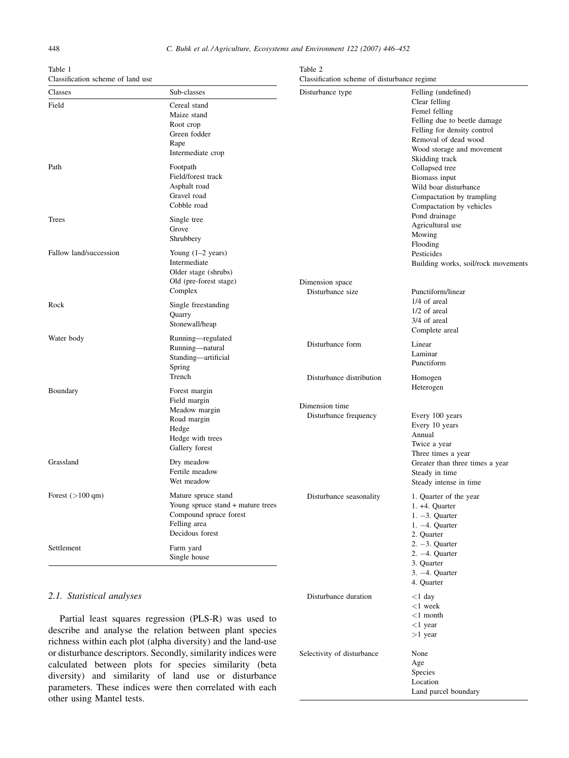| Table 1                           |  |  |
|-----------------------------------|--|--|
| Classification scheme of land use |  |  |

<span id="page-2-0"></span>

| Table 1<br>Classification scheme of land use |                                                                                                                       | Table 2<br>Classification scheme of disturbance regime |                                                                                                                                                                      |  |  |
|----------------------------------------------|-----------------------------------------------------------------------------------------------------------------------|--------------------------------------------------------|----------------------------------------------------------------------------------------------------------------------------------------------------------------------|--|--|
| Classes                                      | Sub-classes                                                                                                           | Disturbance type                                       | Felling (undefined)                                                                                                                                                  |  |  |
| Field                                        | Cereal stand<br>Maize stand<br>Root crop<br>Green fodder<br>Rape<br>Intermediate crop                                 |                                                        | Clear felling<br>Femel felling<br>Felling due to beetle damage<br>Felling for density control<br>Removal of dead wood<br>Wood storage and movement<br>Skidding track |  |  |
| Path                                         | Footpath<br>Field/forest track<br>Asphalt road<br>Gravel road<br>Cobble road                                          |                                                        | Collapsed tree<br>Biomass input<br>Wild boar disturbance<br>Compactation by trampling<br>Compactation by vehicles                                                    |  |  |
| <b>Trees</b>                                 | Single tree<br>Grove<br>Shrubbery                                                                                     |                                                        | Pond drainage<br>Agricultural use<br>Mowing<br>Flooding                                                                                                              |  |  |
| Fallow land/succession                       | Young $(1-2 \text{ years})$<br>Intermediate<br>Older stage (shrubs)<br>Old (pre-forest stage)<br>Complex              | Dimension space<br>Disturbance size                    | Pesticides<br>Building works, soil/rock movements<br>Punctiform/linear                                                                                               |  |  |
| Rock                                         | Single freestanding<br>Quarry<br>Stonewall/heap                                                                       |                                                        | 1/4 of areal<br>1/2 of areal<br>3/4 of areal<br>Complete areal                                                                                                       |  |  |
| Water body                                   | Running-regulated<br>Running-natural<br>Standing-artificial<br>Spring                                                 | Disturbance form                                       | Linear<br>Laminar<br>Punctiform                                                                                                                                      |  |  |
| Boundary                                     | Trench<br>Forest margin                                                                                               | Disturbance distribution                               | Homogen<br>Heterogen                                                                                                                                                 |  |  |
|                                              | Field margin<br>Meadow margin<br>Road margin<br>Hedge<br>Hedge with trees<br>Gallery forest                           | Dimension time<br>Disturbance frequency                | Every 100 years<br>Every 10 years<br>Annual<br>Twice a year                                                                                                          |  |  |
| Grassland                                    | Dry meadow<br>Fertile meadow<br>Wet meadow                                                                            |                                                        | Three times a year<br>Greater than three times a year<br>Steady in time<br>Steady intense in time                                                                    |  |  |
| Forest $(>100 \text{ qm})$                   | Mature spruce stand<br>Young spruce stand + mature trees<br>Compound spruce forest<br>Felling area<br>Decidous forest | Disturbance seasonality                                | 1. Quarter of the year<br>1. +4. Quarter<br>$1. -3.$ Quarter<br>$1. -4.$ Quarter<br>2. Quarter                                                                       |  |  |
| Settlement                                   | Farm yard<br>Single house                                                                                             |                                                        | $2. -3.$ Quarter<br>$2. -4.$ Quarter<br>3. Quarter<br>$3. -4.$ Quarter<br>4. Quarter                                                                                 |  |  |
| 2.1. Statistical analyses                    | Partial least squares regression (PLS-R) was used to<br>describe and analyse the relation between plant species       | Disturbance duration                                   | $<$ 1 day<br>$<$ 1 week<br>$<$ 1 month<br>$<$ 1 year<br>$>1$ year                                                                                                    |  |  |

Selectivity of disturbance None

Age Species Location

Land parcel boundary

describe and analyse the relation between plant species richness within each plot (alpha diversity) and the land-use or disturbance descriptors. Secondly, similarity indices were calculated between plots for species similarity (beta diversity) and similarity of land use or disturbance parameters. These indices were then correlated with each other using Mantel tests.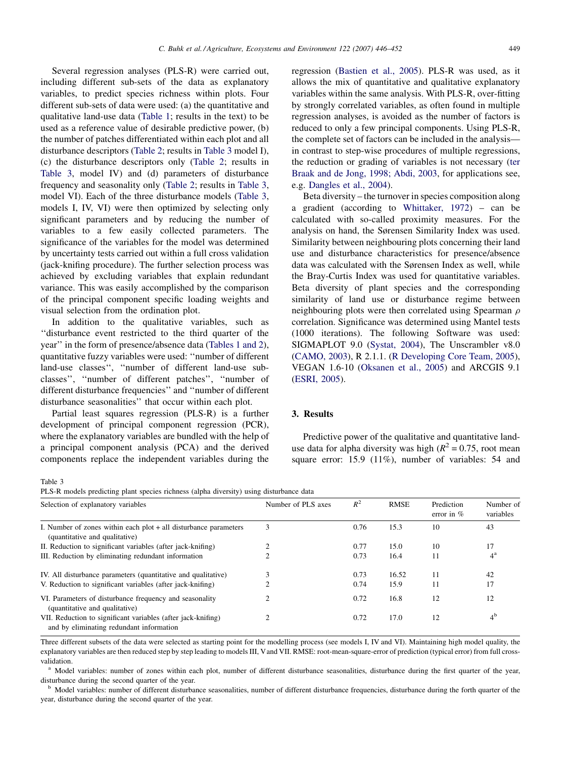<span id="page-3-0"></span>Several regression analyses (PLS-R) were carried out, including different sub-sets of the data as explanatory variables, to predict species richness within plots. Four different sub-sets of data were used: (a) the quantitative and qualitative land-use data ([Table 1](#page-2-0); results in the text) to be used as a reference value of desirable predictive power, (b) the number of patches differentiated within each plot and all disturbance descriptors [\(Table 2;](#page-2-0) results in Table 3 model I), (c) the disturbance descriptors only ([Table 2;](#page-2-0) results in Table 3, model IV) and (d) parameters of disturbance frequency and seasonality only ([Table 2;](#page-2-0) results in Table 3, model VI). Each of the three disturbance models (Table 3, models I, IV, VI) were then optimized by selecting only significant parameters and by reducing the number of variables to a few easily collected parameters. The significance of the variables for the model was determined by uncertainty tests carried out within a full cross validation (jack-knifing procedure). The further selection process was achieved by excluding variables that explain redundant variance. This was easily accomplished by the comparison of the principal component specific loading weights and visual selection from the ordination plot.

In addition to the qualitative variables, such as ''disturbance event restricted to the third quarter of the year'' in the form of presence/absence data ([Tables 1 and 2\)](#page-2-0), quantitative fuzzy variables were used: ''number of different land-use classes'', ''number of different land-use subclasses'', ''number of different patches'', ''number of different disturbance frequencies'' and ''number of different disturbance seasonalities'' that occur within each plot.

Partial least squares regression (PLS-R) is a further development of principal component regression (PCR), where the explanatory variables are bundled with the help of a principal component analysis (PCA) and the derived components replace the independent variables during the regression ([Bastien et al., 2005](#page-6-0)). PLS-R was used, as it allows the mix of quantitative and qualitative explanatory variables within the same analysis. With PLS-R, over-fitting by strongly correlated variables, as often found in multiple regression analyses, is avoided as the number of factors is reduced to only a few principal components. Using PLS-R, the complete set of factors can be included in the analysis in contrast to step-wise procedures of multiple regressions, the reduction or grading of variables is not necessary [\(ter](#page-6-0) [Braak and de Jong, 1998; Abdi, 2003,](#page-6-0) for applications see, e.g. [Dangles et al., 2004\)](#page-6-0).

Beta diversity – the turnover in species composition along a gradient (according to [Whittaker, 1972](#page-6-0)) – can be calculated with so-called proximity measures. For the analysis on hand, the Sørensen Similarity Index was used. Similarity between neighbouring plots concerning their land use and disturbance characteristics for presence/absence data was calculated with the Sørensen Index as well, while the Bray-Curtis Index was used for quantitative variables. Beta diversity of plant species and the corresponding similarity of land use or disturbance regime between neighbouring plots were then correlated using Spearman  $\rho$ correlation. Significance was determined using Mantel tests (1000 iterations). The following Software was used: SIGMAPLOT 9.0 ([Systat, 2004](#page-6-0)), The Unscrambler v8.0 ([CAMO, 2003\)](#page-6-0), R 2.1.1. ([R Developing Core Team, 2005\)](#page-6-0), VEGAN 1.6-10 ([Oksanen et al., 2005](#page-6-0)) and ARCGIS 9.1 ([ESRI, 2005](#page-6-0)).

## 3. Results

Predictive power of the qualitative and quantitative landuse data for alpha diversity was high ( $R^2 = 0.75$ , root mean square error: 15.9 (11%), number of variables: 54 and

Table 3

PLS-R models predicting plant species richness (alpha diversity) using disturbance data

| Selection of explanatory variables                                                                       | Number of PLS axes | $R^2$ | <b>RMSE</b> | Prediction<br>error in $%$ | Number of<br>variables |
|----------------------------------------------------------------------------------------------------------|--------------------|-------|-------------|----------------------------|------------------------|
| I. Number of zones within each $plot + all$ disturbance parameters<br>(quantitative and qualitative)     | 3                  | 0.76  | 15.3        | 10                         | 43                     |
| II. Reduction to significant variables (after jack-knifing)                                              |                    | 0.77  | 15.0        | 10                         | 17                     |
| III. Reduction by eliminating redundant information                                                      |                    | 0.73  | 16.4        | 11                         | $4^{\rm a}$            |
| IV. All disturbance parameters (quantitative and qualitative)                                            |                    | 0.73  | 16.52       | 11                         | 42                     |
| V. Reduction to significant variables (after jack-knifing)                                               |                    | 0.74  | 15.9        | 11                         | 17                     |
| VI. Parameters of disturbance frequency and seasonality<br>(quantitative and qualitative)                |                    | 0.72  | 16.8        | 12                         | 12                     |
| VII. Reduction to significant variables (after jack-knifing)<br>and by eliminating redundant information |                    | 0.72  | 17.0        | 12                         | 4 <sup>b</sup>         |

Three different subsets of the data were selected as starting point for the modelling process (see models I, IV and VI). Maintaining high model quality, the explanatory variables are then reduced step by step leading to models III, Vand VII. RMSE: root-mean-square-error of prediction (typical error) from full cross-

validation.<br><sup>a</sup> Model variables: number of zones within each plot, number of different disturbance seasonalities, disturbance during the first quarter of the year, disturbance during the second quarter of the year.<br><sup>b</sup> Model variables: number of different disturbance seasonalities, number of different disturbance frequencies, disturbance during the forth quarter of the

year, disturbance during the second quarter of the year.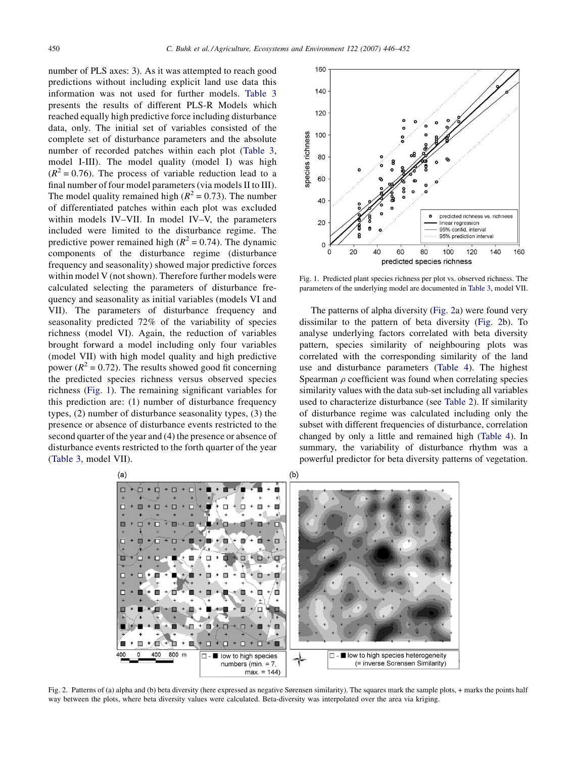number of PLS axes: 3). As it was attempted to reach good predictions without including explicit land use data this information was not used for further models. [Table 3](#page-3-0) presents the results of different PLS-R Models which reached equally high predictive force including disturbance data, only. The initial set of variables consisted of the complete set of disturbance parameters and the absolute number of recorded patches within each plot ([Table 3](#page-3-0), model I-III). The model quality (model I) was high  $(R^{2} = 0.76)$ . The process of variable reduction lead to a final number of four model parameters (via models II to III). The model quality remained high ( $R^2 = 0.73$ ). The number of differentiated patches within each plot was excluded within models IV–VII. In model IV–V, the parameters included were limited to the disturbance regime. The predictive power remained high ( $R^2 = 0.74$ ). The dynamic components of the disturbance regime (disturbance frequency and seasonality) showed major predictive forces within model V (not shown). Therefore further models were calculated selecting the parameters of disturbance frequency and seasonality as initial variables (models VI and VII). The parameters of disturbance frequency and seasonality predicted 72% of the variability of species richness (model VI). Again, the reduction of variables brought forward a model including only four variables (model VII) with high model quality and high predictive power ( $R^2 = 0.72$ ). The results showed good fit concerning the predicted species richness versus observed species richness (Fig. 1). The remaining significant variables for this prediction are: (1) number of disturbance frequency types, (2) number of disturbance seasonality types, (3) the presence or absence of disturbance events restricted to the second quarter of the year and (4) the presence or absence of disturbance events restricted to the forth quarter of the year ([Table 3,](#page-3-0) model VII).



Fig. 1. Predicted plant species richness per plot vs. observed richness. The parameters of the underlying model are documented in [Table 3,](#page-3-0) model VII.

The patterns of alpha diversity (Fig. 2a) were found very dissimilar to the pattern of beta diversity (Fig. 2b). To analyse underlying factors correlated with beta diversity pattern, species similarity of neighbouring plots was correlated with the corresponding similarity of the land use and disturbance parameters ([Table 4\)](#page-5-0). The highest Spearman  $\rho$  coefficient was found when correlating species similarity values with the data sub-set including all variables used to characterize disturbance (see [Table 2\)](#page-2-0). If similarity of disturbance regime was calculated including only the subset with different frequencies of disturbance, correlation changed by only a little and remained high [\(Table 4\)](#page-5-0). In summary, the variability of disturbance rhythm was a powerful predictor for beta diversity patterns of vegetation.



Fig. 2. Patterns of (a) alpha and (b) beta diversity (here expressed as negative Sørensen similarity). The squares mark the sample plots, + marks the points half way between the plots, where beta diversity values were calculated. Beta-diversity was interpolated over the area via kriging.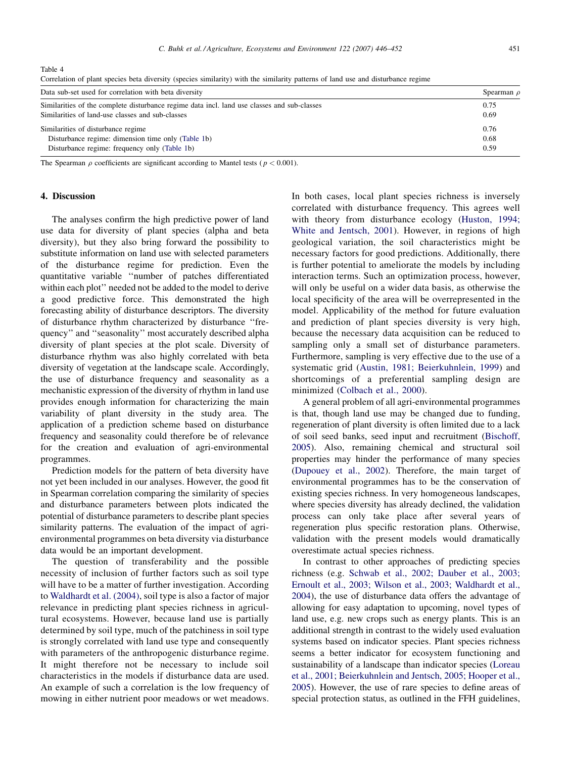<span id="page-5-0"></span>Table 4

| Spearman $\rho$ |
|-----------------|
| 0.75            |
| 0.69            |
| 0.76            |
| 0.68            |
| 0.59            |
|                 |

Correlation of plant species beta diversity (species similarity) with the similarity patterns of land use and disturbance regime

The Spearman  $\rho$  coefficients are significant according to Mantel tests ( $p < 0.001$ ).

#### 4. Discussion

The analyses confirm the high predictive power of land use data for diversity of plant species (alpha and beta diversity), but they also bring forward the possibility to substitute information on land use with selected parameters of the disturbance regime for prediction. Even the quantitative variable ''number of patches differentiated within each plot'' needed not be added to the model to derive a good predictive force. This demonstrated the high forecasting ability of disturbance descriptors. The diversity of disturbance rhythm characterized by disturbance ''frequency'' and ''seasonality'' most accurately described alpha diversity of plant species at the plot scale. Diversity of disturbance rhythm was also highly correlated with beta diversity of vegetation at the landscape scale. Accordingly, the use of disturbance frequency and seasonality as a mechanistic expression of the diversity of rhythm in land use provides enough information for characterizing the main variability of plant diversity in the study area. The application of a prediction scheme based on disturbance frequency and seasonality could therefore be of relevance for the creation and evaluation of agri-environmental programmes.

Prediction models for the pattern of beta diversity have not yet been included in our analyses. However, the good fit in Spearman correlation comparing the similarity of species and disturbance parameters between plots indicated the potential of disturbance parameters to describe plant species similarity patterns. The evaluation of the impact of agrienvironmental programmes on beta diversity via disturbance data would be an important development.

The question of transferability and the possible necessity of inclusion of further factors such as soil type will have to be a matter of further investigation. According to [Waldhardt et al. \(2004\),](#page-6-0) soil type is also a factor of major relevance in predicting plant species richness in agricultural ecosystems. However, because land use is partially determined by soil type, much of the patchiness in soil type is strongly correlated with land use type and consequently with parameters of the anthropogenic disturbance regime. It might therefore not be necessary to include soil characteristics in the models if disturbance data are used. An example of such a correlation is the low frequency of mowing in either nutrient poor meadows or wet meadows.

In both cases, local plant species richness is inversely correlated with disturbance frequency. This agrees well with theory from disturbance ecology [\(Huston, 1994;](#page-6-0) [White and Jentsch, 2001](#page-6-0)). However, in regions of high geological variation, the soil characteristics might be necessary factors for good predictions. Additionally, there is further potential to ameliorate the models by including interaction terms. Such an optimization process, however, will only be useful on a wider data basis, as otherwise the local specificity of the area will be overrepresented in the model. Applicability of the method for future evaluation and prediction of plant species diversity is very high, because the necessary data acquisition can be reduced to sampling only a small set of disturbance parameters. Furthermore, sampling is very effective due to the use of a systematic grid ([Austin, 1981; Beierkuhnlein, 1999\)](#page-6-0) and shortcomings of a preferential sampling design are minimized [\(Colbach et al., 2000](#page-6-0)).

A general problem of all agri-environmental programmes is that, though land use may be changed due to funding, regeneration of plant diversity is often limited due to a lack of soil seed banks, seed input and recruitment ([Bischoff,](#page-6-0) [2005](#page-6-0)). Also, remaining chemical and structural soil properties may hinder the performance of many species ([Dupouey et al., 2002](#page-6-0)). Therefore, the main target of environmental programmes has to be the conservation of existing species richness. In very homogeneous landscapes, where species diversity has already declined, the validation process can only take place after several years of regeneration plus specific restoration plans. Otherwise, validation with the present models would dramatically overestimate actual species richness.

In contrast to other approaches of predicting species richness (e.g. [Schwab et al., 2002; Dauber et al., 2003;](#page-6-0) [Ernoult et al., 2003; Wilson et al., 2003; Waldhardt et al.,](#page-6-0) [2004](#page-6-0)), the use of disturbance data offers the advantage of allowing for easy adaptation to upcoming, novel types of land use, e.g. new crops such as energy plants. This is an additional strength in contrast to the widely used evaluation systems based on indicator species. Plant species richness seems a better indicator for ecosystem functioning and sustainability of a landscape than indicator species [\(Loreau](#page-6-0) [et al., 2001; Beierkuhnlein and Jentsch, 2005; Hooper et al.,](#page-6-0) [2005](#page-6-0)). However, the use of rare species to define areas of special protection status, as outlined in the FFH guidelines,